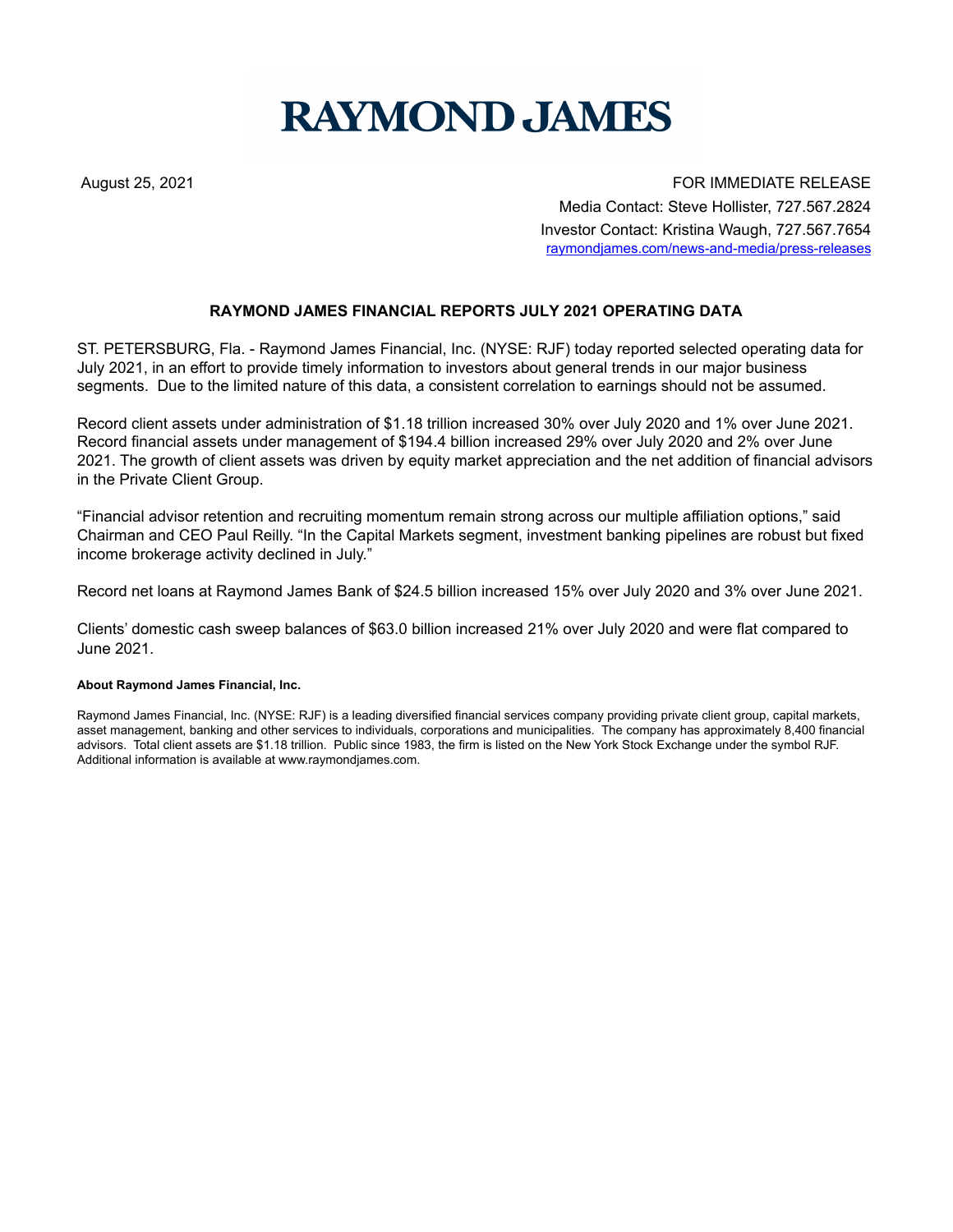## **RAYMOND JAMES**

August 25, 2021 **FOR IMMEDIATE RELEASE** Media Contact: Steve Hollister, 727.567.2824 Investor Contact: Kristina Waugh, 727.567.7654 raymondjames.com/news-and-media/press-releases

## **RAYMOND JAMES FINANCIAL REPORTS JULY 2021 OPERATING DATA**

ST. PETERSBURG, Fla. - Raymond James Financial, Inc. (NYSE: RJF) today reported selected operating data for July 2021, in an effort to provide timely information to investors about general trends in our major business segments. Due to the limited nature of this data, a consistent correlation to earnings should not be assumed.

Record client assets under administration of \$1.18 trillion increased 30% over July 2020 and 1% over June 2021. Record financial assets under management of \$194.4 billion increased 29% over July 2020 and 2% over June 2021. The growth of client assets was driven by equity market appreciation and the net addition of financial advisors in the Private Client Group.

"Financial advisor retention and recruiting momentum remain strong across our multiple affiliation options," said Chairman and CEO Paul Reilly. "In the Capital Markets segment, investment banking pipelines are robust but fixed income brokerage activity declined in July."

Record net loans at Raymond James Bank of \$24.5 billion increased 15% over July 2020 and 3% over June 2021.

Clients' domestic cash sweep balances of \$63.0 billion increased 21% over July 2020 and were flat compared to June 2021.

## **About Raymond James Financial, Inc.**

Raymond James Financial, Inc. (NYSE: RJF) is a leading diversified financial services company providing private client group, capital markets, asset management, banking and other services to individuals, corporations and municipalities. The company has approximately 8,400 financial advisors. Total client assets are \$1.18 trillion. Public since 1983, the firm is listed on the New York Stock Exchange under the symbol RJF. Additional information is available at www.raymondjames.com.